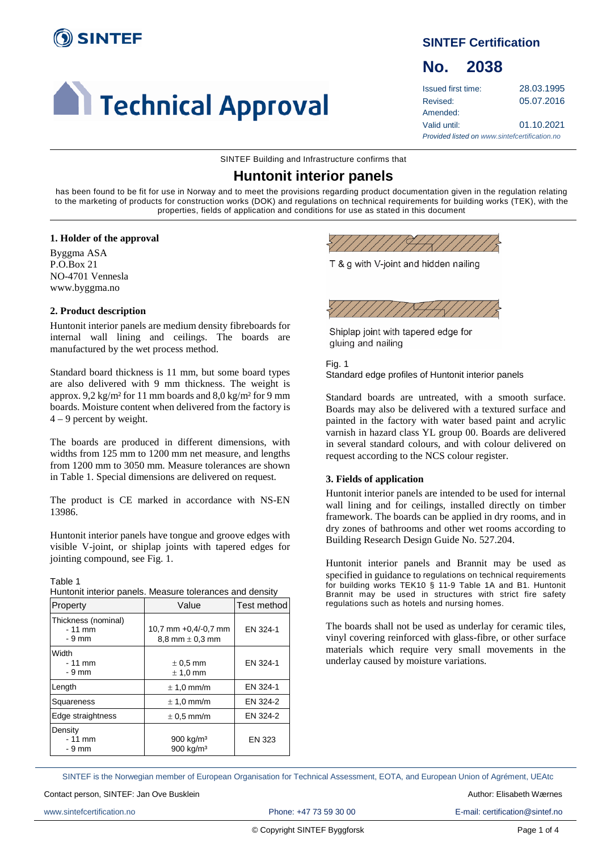

# **Call Technical Approval**

# **SINTEF Certification**

# **No. 2038**

| Issued first time:                            | 28.03.1995 |
|-----------------------------------------------|------------|
| Revised:                                      | 05.07.2016 |
| Amended:                                      |            |
| Valid until:                                  | 01.10.2021 |
| Provided listed on www.sintefcertification.no |            |

SINTEF Building and Infrastructure confirms that

# **Huntonit interior panels**

has been found to be fit for use in Norway and to meet the provisions regarding product documentation given in the regulation relating to the marketing of products for construction works (DOK) and regulations on technical requirements for building works (TEK), with the properties, fields of application and conditions for use as stated in this document

#### **1. Holder of the approval**

Byggma ASA P.O.Box 21 NO-4701 Vennesla www.byggma.no

#### **2. Product description**

Huntonit interior panels are medium density fibreboards for internal wall lining and ceilings. The boards are manufactured by the wet process method.

Standard board thickness is 11 mm, but some board types are also delivered with 9 mm thickness. The weight is approx. 9,2 kg/m² for 11 mm boards and 8,0 kg/m² for 9 mm boards. Moisture content when delivered from the factory is 4 – 9 percent by weight.

The boards are produced in different dimensions, with widths from 125 mm to 1200 mm net measure, and lengths from 1200 mm to 3050 mm. Measure tolerances are shown in Table 1. Special dimensions are delivered on request.

The product is CE marked in accordance with NS-EN 13986.

Huntonit interior panels have tongue and groove edges with visible V-joint, or shiplap joints with tapered edges for jointing compound, see Fig. 1.

Table 1 Huntonit interior panels. Measure tolerances and density

| Property                                  | Value                                          | Test method |
|-------------------------------------------|------------------------------------------------|-------------|
| Thickness (nominal)<br>$-11$ mm<br>- 9 mm | 10,7 mm +0,4/-0,7 mm<br>8.8 mm $\pm$ 0.3 mm    | EN 324-1    |
| Width<br>$-11$ mm<br>$-9$ mm              | $\pm$ 0.5 mm<br>$± 1,0$ mm                     | EN 324-1    |
| Length                                    | $\pm$ 1.0 mm/m                                 | EN 324-1    |
| Squareness                                | $\pm$ 1.0 mm/m                                 | EN 324-2    |
| Edge straightness                         | $\pm$ 0.5 mm/m                                 | EN 324-2    |
| Density<br>$-11$ mm<br>- 9 mm             | 900 kg/m <sup>3</sup><br>900 kg/m <sup>3</sup> | EN 323      |

T & g with V-joint and hidden nailing



Shiplap joint with tapered edge for gluing and nailing

Fig. 1 Standard edge profiles of Huntonit interior panels

Standard boards are untreated, with a smooth surface. Boards may also be delivered with a textured surface and painted in the factory with water based paint and acrylic varnish in hazard class YL group 00. Boards are delivered in several standard colours, and with colour delivered on request according to the NCS colour register.

#### **3. Fields of application**

Huntonit interior panels are intended to be used for internal wall lining and for ceilings, installed directly on timber framework. The boards can be applied in dry rooms, and in dry zones of bathrooms and other wet rooms according to Building Research Design Guide No. 527.204.

Huntonit interior panels and Brannit may be used as specified in guidance to regulations on technical requirements for building works TEK10 § 11-9 Table 1A and B1. Huntonit Brannit may be used in structures with strict fire safety regulations such as hotels and nursing homes.

The boards shall not be used as underlay for ceramic tiles, vinyl covering reinforced with glass-fibre, or other surface materials which require very small movements in the underlay caused by moisture variations.

SINTEF is the Norwegian member of European Organisation for Technical Assessment, EOTA, and European Union of Agrément, UEAtc

www.sintefcertification.no **Phone: +47 73 59 30 00** E-mail: certification@sintef.no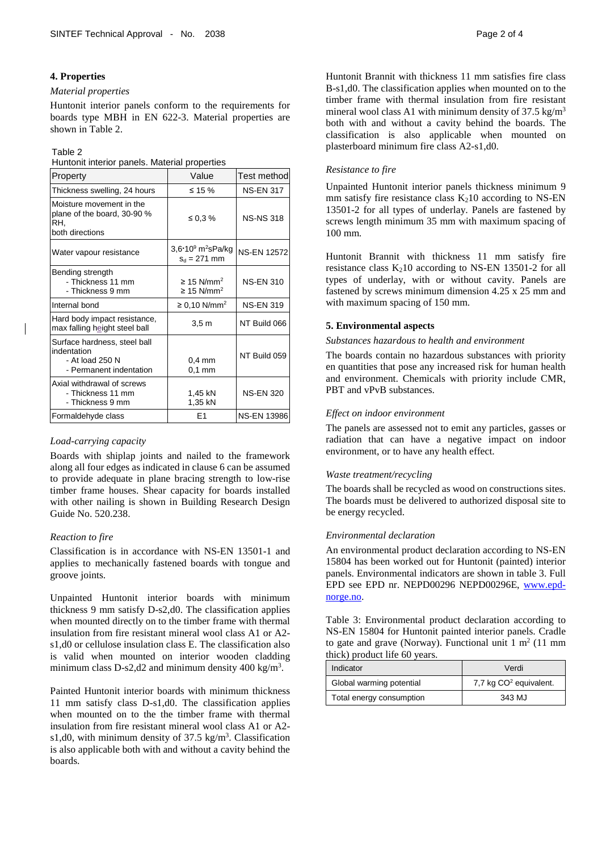#### **4. Properties**

#### *Material properties*

Huntonit interior panels conform to the requirements for boards type MBH in EN 622-3. Material properties are shown in Table 2.

#### Table 2

Huntonit interior panels. Material properties

| Property                                                                                  | Value                                                             | Test method        |
|-------------------------------------------------------------------------------------------|-------------------------------------------------------------------|--------------------|
| Thickness swelling, 24 hours                                                              | ≤ 15 %                                                            | <b>NS-EN 317</b>   |
| Moisture movement in the<br>plane of the board, 30-90 %<br>RH.<br>both directions         | ≤ 0.3 $%$                                                         | <b>NS-NS 318</b>   |
| Water vapour resistance                                                                   | 3,6 $\cdot$ 10 $^{\circ}$ m <sup>2</sup> sPa/kg<br>$S_d = 271$ mm | <b>NS-EN 12572</b> |
| Bending strength<br>- Thickness 11 mm<br>- Thickness 9 mm                                 | $\geq$ 15 N/mm <sup>2</sup><br>$\geq$ 15 N/mm <sup>2</sup>        | <b>NS-EN 310</b>   |
| Internal bond                                                                             | ≥ 0,10 N/mm <sup>2</sup>                                          | <b>NS-EN 319</b>   |
| Hard body impact resistance,<br>max falling height steel ball                             | 3.5 <sub>m</sub>                                                  | NT Build 066       |
| Surface hardness, steel ball<br>indentation<br>- At load 250 N<br>- Permanent indentation | $0,4$ mm<br>$0,1$ mm                                              | NT Build 059       |
| Axial withdrawal of screws<br>- Thickness 11 mm<br>- Thickness 9 mm                       | 1,45 kN<br>1,35 kN                                                | <b>NS-EN 320</b>   |
| Formaldehyde class                                                                        | F <sub>1</sub>                                                    | NS-EN 13986        |

#### *Load-carrying capacity*

Boards with shiplap joints and nailed to the framework along all four edges as indicated in clause 6 can be assumed to provide adequate in plane bracing strength to low-rise timber frame houses. Shear capacity for boards installed with other nailing is shown in Building Research Design Guide No. 520.238.

#### *Reaction to fire*

Classification is in accordance with NS-EN 13501-1 and applies to mechanically fastened boards with tongue and groove joints.

Unpainted Huntonit interior boards with minimum thickness 9 mm satisfy D-s2,d0. The classification applies when mounted directly on to the timber frame with thermal insulation from fire resistant mineral wool class A1 or A2 s1,d0 or cellulose insulation class E. The classification also is valid when mounted on interior wooden cladding minimum class D-s2,d2 and minimum density  $400 \text{ kg/m}^3$ .

Painted Huntonit interior boards with minimum thickness 11 mm satisfy class D-s1,d0. The classification applies when mounted on to the the timber frame with thermal insulation from fire resistant mineral wool class A1 or A2 s1,d0, with minimum density of  $37.5 \text{ kg/m}^3$ . Classification is also applicable both with and without a cavity behind the boards.

Huntonit Brannit with thickness 11 mm satisfies fire class B-s1,d0. The classification applies when mounted on to the timber frame with thermal insulation from fire resistant mineral wool class A1 with minimum density of  $37.5 \text{ kg/m}^3$ both with and without a cavity behind the boards. The classification is also applicable when mounted on plasterboard minimum fire class A2-s1,d0.

#### *Resistance to fire*

Unpainted Huntonit interior panels thickness minimum 9 mm satisfy fire resistance class  $K_2$ 10 according to NS-EN 13501-2 for all types of underlay. Panels are fastened by screws length minimum 35 mm with maximum spacing of 100 mm.

Huntonit Brannit with thickness 11 mm satisfy fire resistance class  $K_210$  according to NS-EN 13501-2 for all types of underlay, with or without cavity. Panels are fastened by screws minimum dimension 4.25 x 25 mm and with maximum spacing of 150 mm.

#### **5. Environmental aspects**

#### *Substances hazardous to health and environment*

The boards contain no hazardous substances with priority en quantities that pose any increased risk for human health and environment. Chemicals with priority include CMR, PBT and vPvB substances.

#### *Effect on indoor environment*

The panels are assessed not to emit any particles, gasses or radiation that can have a negative impact on indoor environment, or to have any health effect.

#### *Waste treatment/recycling*

The boards shall be recycled as wood on constructions sites. The boards must be delivered to authorized disposal site to be energy recycled.

#### *Environmental declaration*

An environmental product declaration according to NS-EN 15804 has been worked out for Huntonit (painted) interior panels. Environmental indicators are shown in table 3. Full EPD see EPD nr. NEPD00296 NEPD00296E, [www.epd](http://www.epd-norge.no/)[norge.no.](http://www.epd-norge.no/)

Table 3: Environmental product declaration according to NS-EN 15804 for Huntonit painted interior panels. Cradle to gate and grave (Norway). Functional unit  $1 \text{ m}^2$  (11 mm thick) product life 60 years.

| Indicator                | Verdi                              |
|--------------------------|------------------------------------|
| Global warming potential | 7,7 kg CO <sup>2</sup> equivalent. |
| Total energy consumption | 343 MJ                             |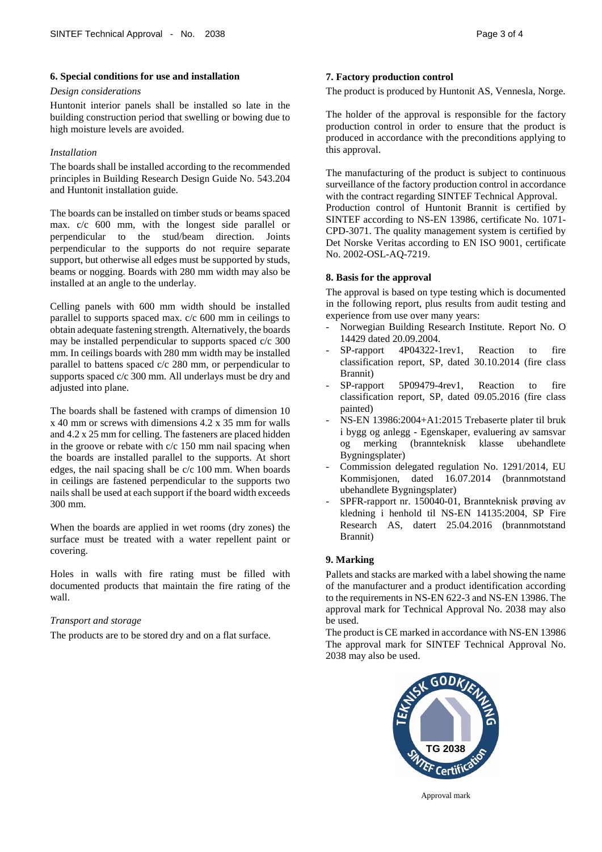#### **6. Special conditions for use and installation**

#### *Design considerations*

Huntonit interior panels shall be installed so late in the building construction period that swelling or bowing due to high moisture levels are avoided.

### *Installation*

The boards shall be installed according to the recommended principles in Building Research Design Guide No. 543.204 and Huntonit installation guide.

The boards can be installed on timber studs or beams spaced max. c/c 600 mm, with the longest side parallel or perpendicular to the stud/beam direction. Joints perpendicular to the supports do not require separate support, but otherwise all edges must be supported by studs, beams or nogging. Boards with 280 mm width may also be installed at an angle to the underlay.

Celling panels with 600 mm width should be installed parallel to supports spaced max. c/c 600 mm in ceilings to obtain adequate fastening strength. Alternatively, the boards may be installed perpendicular to supports spaced c/c 300 mm. In ceilings boards with 280 mm width may be installed parallel to battens spaced c/c 280 mm, or perpendicular to supports spaced c/c 300 mm. All underlays must be dry and adjusted into plane.

The boards shall be fastened with cramps of dimension 10 x 40 mm or screws with dimensions 4.2 x 35 mm for walls and 4.2 x 25 mm for celling. The fasteners are placed hidden in the groove or rebate with c/c 150 mm nail spacing when the boards are installed parallel to the supports. At short edges, the nail spacing shall be c/c 100 mm. When boards in ceilings are fastened perpendicular to the supports two nails shall be used at each support if the board width exceeds 300 mm.

When the boards are applied in wet rooms (dry zones) the surface must be treated with a water repellent paint or covering.

Holes in walls with fire rating must be filled with documented products that maintain the fire rating of the wall.

# *Transport and storage*

The products are to be stored dry and on a flat surface.

# **7. Factory production control**

The product is produced by Huntonit AS, Vennesla, Norge*.*

The holder of the approval is responsible for the factory production control in order to ensure that the product is produced in accordance with the preconditions applying to this approval.

The manufacturing of the product is subject to continuous surveillance of the factory production control in accordance with the contract regarding SINTEF Technical Approval. Production control of Huntonit Brannit is certified by SINTEF according to NS-EN 13986, certificate No. 1071- CPD-3071. The quality management system is certified by Det Norske Veritas according to EN ISO 9001, certificate No. 2002-OSL-AQ-7219.

#### **8. Basis for the approval**

The approval is based on type testing which is documented in the following report, plus results from audit testing and experience from use over many years:

- Norwegian Building Research Institute. Report No. O 14429 dated 20.09.2004.
- SP-rapport 4P04322-1rev1, Reaction to fire classification report, SP, dated 30.10.2014 (fire class Brannit)
- SP-rapport 5P09479-4rev1, Reaction to fire classification report, SP, dated 09.05.2016 (fire class painted)
- NS-EN 13986:2004+A1:2015 Trebaserte plater til bruk i bygg og anlegg - Egenskaper, evaluering av samsvar og merking (brannteknisk klasse ubehandlete Bygningsplater)
- Commission delegated regulation No. 1291/2014, EU Kommisjonen, dated 16.07.2014 (brannmotstand ubehandlete Bygningsplater)
- SPFR-rapport nr. 150040-01, Brannteknisk prøving av kledning i henhold til NS-EN 14135:2004, SP Fire Research AS, datert 25.04.2016 (brannmotstand Brannit)

# **9. Marking**

Pallets and stacks are marked with a label showing the name of the manufacturer and a product identification according to the requirements in NS-EN 622-3 and NS-EN 13986. The approval mark for Technical Approval No. 2038 may also be used.

The product is CE marked in accordance with NS-EN 13986 The approval mark for SINTEF Technical Approval No. 2038 may also be used.



Approval mark